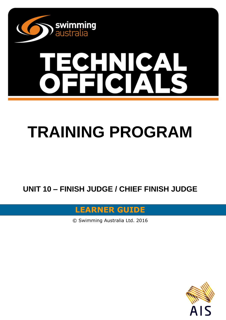

# **SHAICA**

## **TRAINING PROGRAM**

**UNIT 10 – FINISH JUDGE / CHIEF FINISH JUDGE**

**LEARNER GUIDE**

© Swimming Australia Ltd. 2016

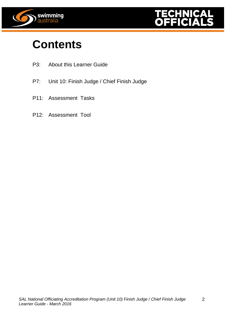



2

## **Contents**

- P3: About this Learner Guide
- P7: Unit 10: Finish Judge / Chief Finish Judge
- P11: Assessment Tasks
- P12: Assessment Tool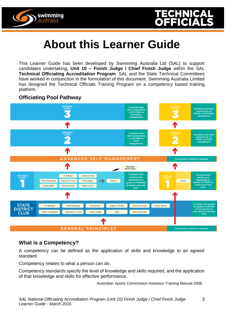



## **About this Learner Guide**

This Learner Guide has been developed by Swimming Australia Ltd (SAL) to support candidates undertaking**, Unit 10 – Finish Judge / Chief Finish Judge** within the SAL **Technical Officiating Accreditation Program**. SAL and the State Technical Committees have worked in conjunction in the formulation of this document. Swimming Australia Limited has designed the Technical Officials Training Program on a competency based training platform.

#### **Officiating Pool Pathway**



#### **What is a Competency?**

A competency can be defined as the application of skills and knowledge to an agreed standard.

Competency relates to what a person can do.

Competency standards specify the level of knowledge and skills required, and the application of that knowledge and skills for effective performance.

Australian Sports Commission Assessor Training Manual 2006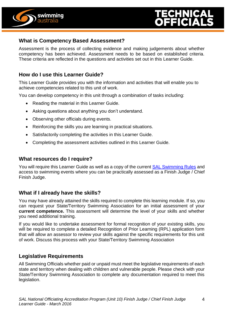



#### **What is Competency Based Assessment?**

Assessment is the process of collecting evidence and making judgements about whether competency has been achieved. Assessment needs to be based on established criteria. These criteria are reflected in the questions and activities set out in this Learner Guide.

#### **How do I use this Learner Guide?**

This Learner Guide provides you with the information and activities that will enable you to achieve competencies related to this unit of work.

You can develop competency in this unit through a combination of tasks including:

- Reading the material in this Learner Guide.
- Asking questions about anything you don't understand.
- Observing other officials during events.
- Reinforcing the skills you are learning in practical situations.
- Satisfactorily completing the activities in this Learner Guide.
- Completing the assessment activities outlined in this Learner Guide.

#### **What resources do I require?**

You will require this Learner Guide as well as a copy of the current [SAL Swimming Rules](http://www.swimming.org.au/visageimages/1_SAL/Rules/SAL%20Swimming%20Rules%20%20JAN%202014%20updated%2005.02.15.pdf) and access to swimming events where you can be practically assessed as a Finish Judge / Chief Finish Judge.

#### **What if I already have the skills?**

You may have already attained the skills required to complete this learning module. If so, you can request your State/Territory Swimming Association for an initial assessment of your **current competence.** This assessment will determine the level of your skills and whether you need additional training.

If you would like to undertake assessment for formal recognition of your existing skills, you will be required to complete a detailed Recognition of Prior Learning (RPL) application form that will allow an assessor to review your skills against the specific requirements for this unit of work. Discuss this process with your State/Territory Swimming Association

#### **Legislative Requirements**

All Swimming Officials whether paid or unpaid must meet the legislative requirements of each state and territory when dealing with children and vulnerable people. Please check with your State/Territory Swimming Association to complete any documentation required to meet this legislation.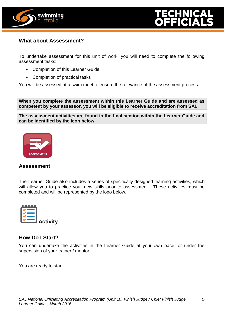



#### **What about Assessment?**

To undertake assessment for this unit of work, you will need to complete the following assessment tasks:

- Completion of this Learner Guide
- Completion of practical tasks

You will be assessed at a swim meet to ensure the relevance of the assessment process.

**When you complete the assessment within this Learner Guide and are assessed as competent by your assessor, you will be eligible to receive accreditation from SAL.**

**The assessment activities are found in the final section within the Learner Guide and can be identified by the icon below.**



#### **Assessment**

The Learner Guide also includes a series of specifically designed learning activities, which will allow you to practice your new skills prior to assessment. These activities must be completed and will be represented by the logo below.



#### **How Do I Start?**

You can undertake the activities in the Learner Guide at your own pace, or under the supervision of your trainer / mentor.

You are ready to start.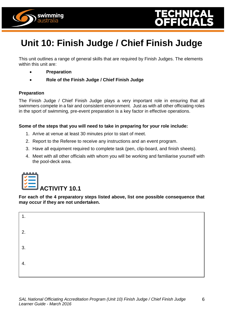



This unit outlines a range of general skills that are required by Finish Judges. The elements within this unit are:

**Preparation**

swimming australıa

**Role of the Finish Judge / Chief Finish Judge**

#### **Preparation**

The Finish Judge / Chief Finish Judge plays a very important role in ensuring that all swimmers compete in a fair and consistent environment. Just as with all other officiating roles in the sport of swimming, pre-event preparation is a key factor in effective operations.

#### **Some of the steps that you will need to take in preparing for your role include:**

- 1. Arrive at venue at least 30 minutes prior to start of meet.
- 2. Report to the Referee to receive any instructions and an event program.
- 3. Have all equipment required to complete task (pen, clip-board, and finish sheets).
- 4. Meet with all other officials with whom you will be working and familiarise yourself with the pool-deck area.



**For each of the 4 preparatory steps listed above, list one possible consequence that may occur if they are not undertaken.**

| 1. |  |  |
|----|--|--|
| 2. |  |  |
| 3. |  |  |
| 4. |  |  |
|    |  |  |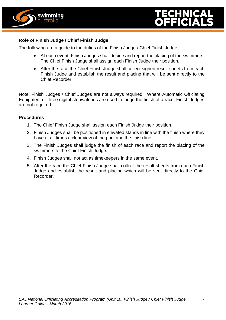



#### **Role of Finish Judge / Chief Finish Judge**

The following are a guide to the duties of the Finish Judge / Chief Finish Judge:

- At each event, Finish Judges shall decide and report the placing of the swimmers. The Chief Finish Judge shall assign each Finish Judge their position.
- After the race the Chief Finish Judge shall collect signed result sheets from each Finish Judge and establish the result and placing that will be sent directly to the Chief Recorder.

Note: Finish Judges / Chief Judges are not always required. Where Automatic Officiating Equipment or three digital stopwatches are used to judge the finish of a race, Finish Judges are not required.

#### **Procedures**

- 1. The Chief Finish Judge shall assign each Finish Judge their position.
- 2. Finish Judges shall be positioned in elevated stands in line with the finish where they have at all times a clear view of the pool and the finish line.
- 3. The Finish Judges shall judge the finish of each race and report the placing of the swimmers to the Chief Finish Judge.
- 4. Finish Judges shall not act as timekeepers in the same event.
- 5. After the race the Chief Finish Judge shall collect the result sheets from each Finish Judge and establish the result and placing which will be sent directly to the Chief Recorder.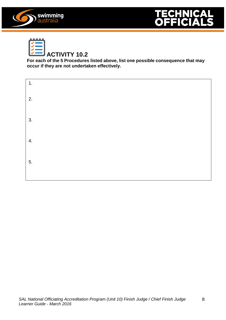



| and the<br>H |  |
|--------------|--|
|              |  |
|              |  |
|              |  |
|              |  |

#### **ACTIVITY 10.2**

**For each of the 5 Procedures listed above, list one possible consequence that may occur if they are not undertaken effectively.**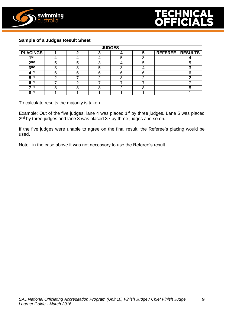



#### **Sample of a Judges Result Sheet**

| <b>JUDGES</b>   |  |  |  |  |  |  |                          |
|-----------------|--|--|--|--|--|--|--------------------------|
| <b>PLACINGS</b> |  |  |  |  |  |  | <b>REFEREE   RESULTS</b> |
| 4 ST            |  |  |  |  |  |  |                          |
| <u>ND</u>       |  |  |  |  |  |  |                          |
| 3 <sub>RD</sub> |  |  |  |  |  |  |                          |
| <b>ATH</b>      |  |  |  |  |  |  |                          |
| <b>ETH</b>      |  |  |  |  |  |  |                          |
| <b>GTH</b>      |  |  |  |  |  |  |                          |
| 7TH             |  |  |  |  |  |  |                          |
| <b>oTH</b>      |  |  |  |  |  |  |                          |

To calculate results the majority is taken.

Example: Out of the five judges, lane 4 was placed 1<sup>st</sup> by three judges. Lane 5 was placed 2<sup>nd</sup> by three judges and lane 3 was placed 3<sup>rd</sup> by three judges and so on.

If the five judges were unable to agree on the final result, the Referee's placing would be used.

Note: in the case above it was not necessary to use the Referee's result.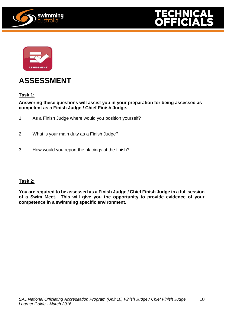





### **ASSESSMENT**

#### **Task 1:**

#### **Answering these questions will assist you in your preparation for being assessed as competent as a Finish Judge / Chief Finish Judge.**

- 1. As a Finish Judge where would you position yourself?
- 2. What is your main duty as a Finish Judge?
- 3. How would you report the placings at the finish?

#### **Task 2:**

**You are required to be assessed as a Finish Judge / Chief Finish Judge in a full session of a Swim Meet. This will give you the opportunity to provide evidence of your competence in a swimming specific environment.**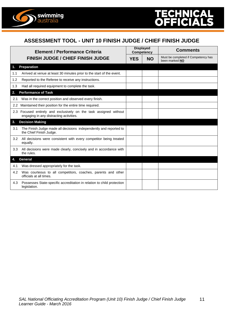

#### **ASSESSMENT TOOL - UNIT 10 FINISH JUDGE / CHIEF FINISH JUDGE**

|                | <b>Element / Performance Criteria</b>                                                                    |            | <b>Displayed</b><br><b>Competency</b> | <b>Comments</b>                                       |  |
|----------------|----------------------------------------------------------------------------------------------------------|------------|---------------------------------------|-------------------------------------------------------|--|
|                | <b>FINISH JUDGE / CHIEF FINISH JUDGE</b>                                                                 | <b>YES</b> | <b>NO</b>                             | Must be completed if Competency has<br>been marked NO |  |
| $\mathbf{1}$ . | Preparation                                                                                              |            |                                       |                                                       |  |
| 1.1            | Arrived at venue at least 30 minutes prior to the start of the event.                                    |            |                                       |                                                       |  |
| 1.2            | Reported to the Referee to receive any instructions.                                                     |            |                                       |                                                       |  |
| 1.3            | Had all required equipment to complete the task.                                                         |            |                                       |                                                       |  |
| 2.             | <b>Performance of Task</b>                                                                               |            |                                       |                                                       |  |
| 2.1            | Was in the correct position and observed every finish.                                                   |            |                                       |                                                       |  |
| $2.2^{\circ}$  | Maintained their position for the entire time required.                                                  |            |                                       |                                                       |  |
| 2.3            | Focused entirely and exclusively on the task assigned without<br>engaging in any distracting activities. |            |                                       |                                                       |  |
| 3.             | <b>Decision Making</b>                                                                                   |            |                                       |                                                       |  |
| 3.1            | The Finish Judge made all decisions independently and reported to<br>the Chief Finish Judge.             |            |                                       |                                                       |  |
| 3.2            | All decisions were consistent with every competitor being treated<br>equally.                            |            |                                       |                                                       |  |
| 3.3            | All decisions were made clearly, concisely and in accordance with<br>the rules.                          |            |                                       |                                                       |  |
| 4.             | General                                                                                                  |            |                                       |                                                       |  |
| 4.1            | Was dressed appropriately for the task.                                                                  |            |                                       |                                                       |  |
| 4.2            | Was courteous to all competitors, coaches, parents and other<br>officials at all times.                  |            |                                       |                                                       |  |
| 4.3            | Possesses State-specific accreditation in relation to child protection<br>legislation.                   |            |                                       |                                                       |  |